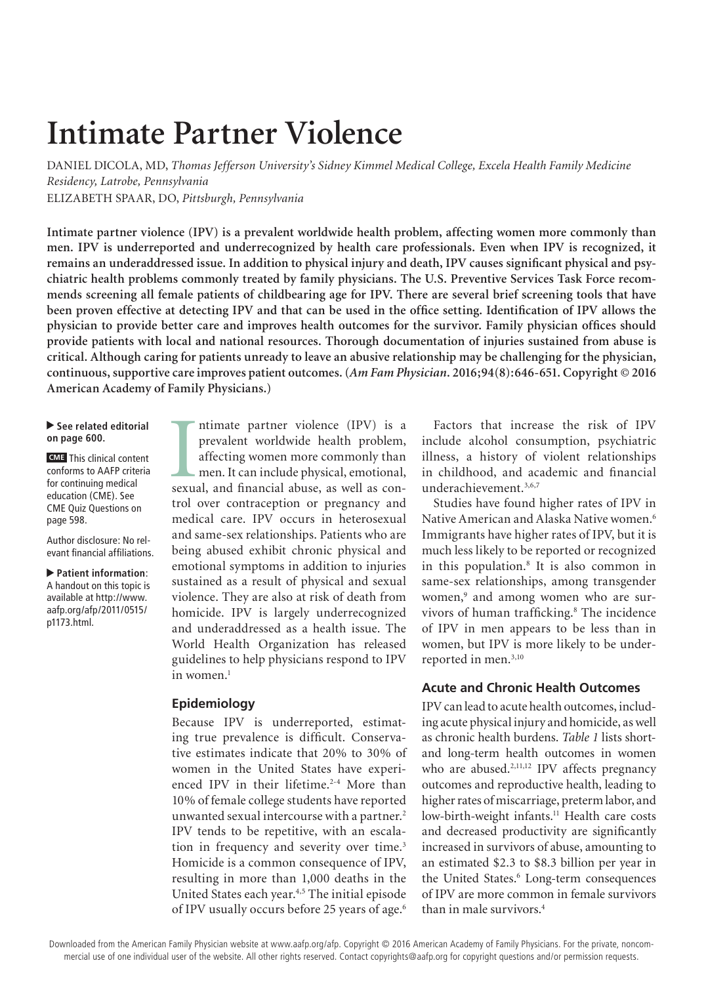# **Intimate Partner Violence**

DANIEL DICOLA, MD, *Thomas Jefferson University's Sidney Kimmel Medical College, Excela Health Family Medicine Residency, Latrobe, Pennsylvania*  ELIZABETH SPAAR, DO, *Pittsburgh, Pennsylvania*

**Intimate partner violence (IPV) is a prevalent worldwide health problem, affecting women more commonly than men. IPV is underreported and underrecognized by health care professionals. Even when IPV is recognized, it remains an underaddressed issue. In addition to physical injury and death, IPV causes significant physical and psychiatric health problems commonly treated by family physicians. The U.S. Preventive Services Task Force recommends screening all female patients of childbearing age for IPV. There are several brief screening tools that have been proven effective at detecting IPV and that can be used in the office setting. Identification of IPV allows the physician to provide better care and improves health outcomes for the survivor. Family physician offices should provide patients with local and national resources. Thorough documentation of injuries sustained from abuse is critical. Although caring for patients unready to leave an abusive relationship may be challenging for the physician, continuous, supportive care improves patient outcomes. (***Am Fam Physician***. 2016;94(8):646-651. Copyright © 2016 American Academy of Family Physicians.)**

#### ▶ See related editorial **on page 600.**

**CME** This clinical content conforms to AAFP criteria for continuing medical education (CME). See CME Quiz Questions on page 598.

Author disclosure: No relevant financial affiliations.

▲ **Patient information**: A handout on this topic is available at http://www. aafp.org/afp/2011/0515/ p1173.html.

ntimate partner violence (IPV) is a<br>prevalent worldwide health problem,<br>affecting women more commonly than<br>men. It can include physical, emotional,<br>sexual, and financial abuse, as well as conntimate partner violence (IPV) is a prevalent worldwide health problem, affecting women more commonly than men. It can include physical, emotional, trol over contraception or pregnancy and medical care. IPV occurs in heterosexual and same-sex relationships. Patients who are being abused exhibit chronic physical and emotional symptoms in addition to injuries sustained as a result of physical and sexual violence. They are also at risk of death from homicide. IPV is largely underrecognized and underaddressed as a health issue. The World Health Organization has released guidelines to help physicians respond to IPV in women.<sup>1</sup>

# **Epidemiology**

Because IPV is underreported, estimating true prevalence is difficult. Conservative estimates indicate that 20% to 30% of women in the United States have experienced IPV in their lifetime.<sup>2-4</sup> More than 10% of female college students have reported unwanted sexual intercourse with a partner.<sup>2</sup> IPV tends to be repetitive, with an escalation in frequency and severity over time.<sup>3</sup> Homicide is a common consequence of IPV, resulting in more than 1,000 deaths in the United States each year.<sup>4,5</sup> The initial episode of IPV usually occurs before 25 years of age.<sup>6</sup>

Factors that increase the risk of IPV include alcohol consumption, psychiatric illness, a history of violent relationships in childhood, and academic and financial underachievement.<sup>3,6,7</sup>

Studies have found higher rates of IPV in Native American and Alaska Native women.6 Immigrants have higher rates of IPV, but it is much less likely to be reported or recognized in this population.8 It is also common in same-sex relationships, among transgender women,<sup>9</sup> and among women who are survivors of human trafficking.<sup>8</sup> The incidence of IPV in men appears to be less than in women, but IPV is more likely to be underreported in men.<sup>3,10</sup>

## **Acute and Chronic Health Outcomes**

IPV can lead to acute health outcomes, including acute physical injury and homicide, as well as chronic health burdens. *Table 1* lists shortand long-term health outcomes in women who are abused.<sup>2,11,12</sup> IPV affects pregnancy outcomes and reproductive health, leading to higher rates of miscarriage, preterm labor, and low-birth-weight infants.<sup>11</sup> Health care costs and decreased productivity are significantly increased in survivors of abuse, amounting to an estimated \$2.3 to \$8.3 billion per year in the United States.<sup>6</sup> Long-term consequences of IPV are more common in female survivors than in male survivors.4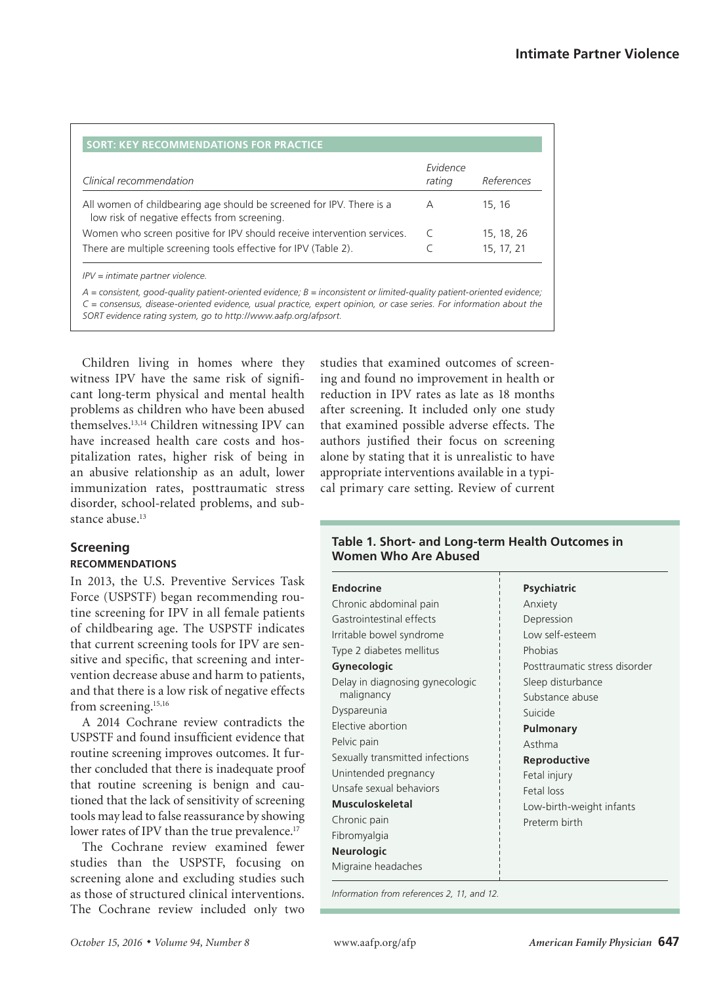| Clinical recommendation                                                                                              | Evidence<br>rating | References |
|----------------------------------------------------------------------------------------------------------------------|--------------------|------------|
| All women of childbearing age should be screened for IPV. There is a<br>low risk of negative effects from screening. | А                  | 15, 16     |
| Women who screen positive for IPV should receive intervention services.                                              |                    | 15, 18, 26 |
| There are multiple screening tools effective for IPV (Table 2).                                                      |                    | 15, 17, 21 |

*A = consistent, good-quality patient-oriented evidence; B = inconsistent or limited-quality patient-oriented evidence; C = consensus, disease-oriented evidence, usual practice, expert opinion, or case series. For information about the SORT evidence rating system, go to http://www.aafp.org/afpsort.*

Children living in homes where they witness IPV have the same risk of significant long-term physical and mental health problems as children who have been abused themselves.13,14 Children witnessing IPV can have increased health care costs and hospitalization rates, higher risk of being in an abusive relationship as an adult, lower immunization rates, posttraumatic stress disorder, school-related problems, and substance abuse.<sup>13</sup>

# **Screening RECOMMENDATIONS**

In 2013, the U.S. Preventive Services Task Force (USPSTF) began recommending routine screening for IPV in all female patients of childbearing age. The USPSTF indicates that current screening tools for IPV are sensitive and specific, that screening and intervention decrease abuse and harm to patients, and that there is a low risk of negative effects from screening.<sup>15,16</sup>

A 2014 Cochrane review contradicts the USPSTF and found insufficient evidence that routine screening improves outcomes. It further concluded that there is inadequate proof that routine screening is benign and cautioned that the lack of sensitivity of screening tools may lead to false reassurance by showing lower rates of IPV than the true prevalence.<sup>17</sup>

The Cochrane review examined fewer studies than the USPSTF, focusing on screening alone and excluding studies such as those of structured clinical interventions. The Cochrane review included only two studies that examined outcomes of screening and found no improvement in health or reduction in IPV rates as late as 18 months after screening. It included only one study that examined possible adverse effects. The authors justified their focus on screening alone by stating that it is unrealistic to have appropriate interventions available in a typical primary care setting. Review of current

# **Table 1. Short- and Long-term Health Outcomes in Women Who Are Abused**

| <b>Endocrine</b>                | <b>Psychiatric</b>            |
|---------------------------------|-------------------------------|
| Chronic abdominal pain          | Anxiety                       |
| Gastrointestinal effects        | Depression                    |
| Irritable bowel syndrome        | Low self-esteem               |
| Type 2 diabetes mellitus        | Phobias                       |
| <b>Gynecologic</b>              | Posttraumatic stress disorder |
| Delay in diagnosing gynecologic | Sleep disturbance             |
| malignancy                      | Substance abuse               |
| Dyspareunia                     | Suicide                       |
| Elective abortion               | Pulmonary                     |
| Pelvic pain                     | Asthma                        |
| Sexually transmitted infections | Reproductive                  |
| Unintended pregnancy            | Fetal injury                  |
| Unsafe sexual behaviors         | Fetal loss                    |
| <b>Musculoskeletal</b>          | Low-birth-weight infants      |
| Chronic pain                    | Preterm birth                 |
| Fibromyalgia                    |                               |
| <b>Neurologic</b>               |                               |
| Migraine headaches              |                               |
|                                 |                               |

*Information from references 2, 11, and 12.*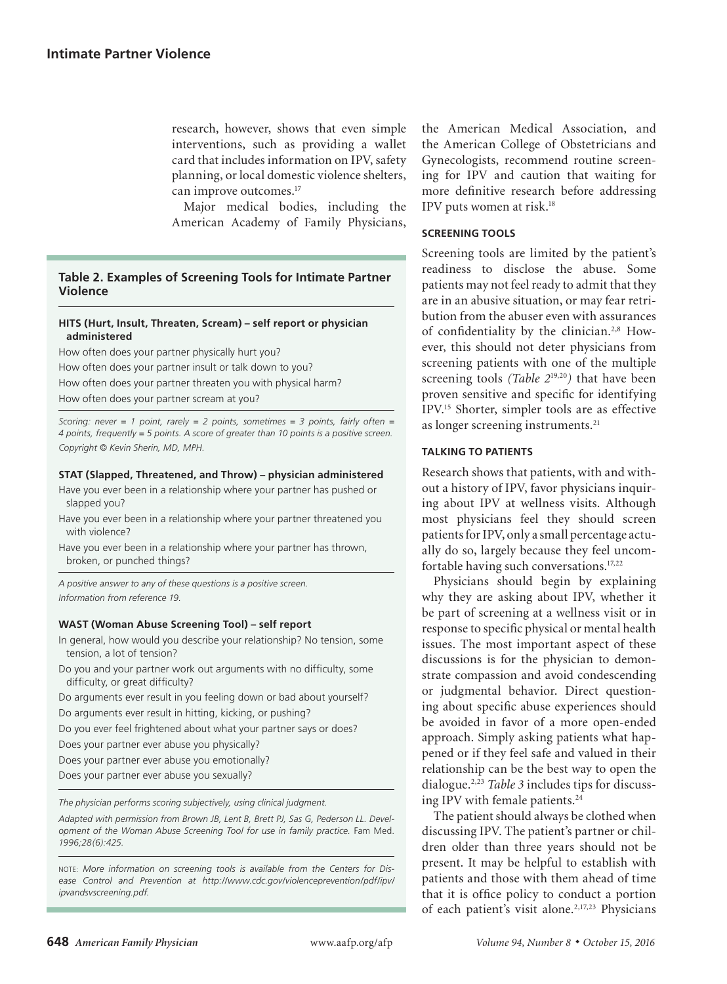research, however, shows that even simple interventions, such as providing a wallet card that includes information on IPV, safety planning, or local domestic violence shelters, can improve outcomes.<sup>17</sup>

Major medical bodies, including the American Academy of Family Physicians,

# **Table 2. Examples of Screening Tools for Intimate Partner Violence**

#### **HITS (Hurt, Insult, Threaten, Scream) – self report or physician administered**

How often does your partner physically hurt you? How often does your partner insult or talk down to you? How often does your partner threaten you with physical harm? How often does your partner scream at you?

*Scoring: never = 1 point, rarely = 2 points, sometimes = 3 points, fairly often = 4 points, frequently = 5 points. A score of greater than 10 points is a positive screen. Copyright © Kevin Sherin, MD, MPH.*

#### **STAT (Slapped, Threatened, and Throw) – physician administered**

- Have you ever been in a relationship where your partner has pushed or slapped you?
- Have you ever been in a relationship where your partner threatened you with violence?
- Have you ever been in a relationship where your partner has thrown, broken, or punched things?

*A positive answer to any of these questions is a positive screen. Information from reference 19.*

#### **WAST (Woman Abuse Screening Tool) – self report**

In general, how would you describe your relationship? No tension, some tension, a lot of tension?

Do you and your partner work out arguments with no difficulty, some difficulty, or great difficulty?

Do arguments ever result in you feeling down or bad about yourself? Do arguments ever result in hitting, kicking, or pushing?

Do you ever feel frightened about what your partner says or does?

Does your partner ever abuse you physically?

Does your partner ever abuse you emotionally?

Does your partner ever abuse you sexually?

*The physician performs scoring subjectively, using clinical judgment.* 

*Adapted with permission from Brown JB, Lent B, Brett PJ, Sas G, Pederson LL. Development of the Woman Abuse Screening Tool for use in family practice.* Fam Med. *1996;28(6):425.*

NOTE: *More information on screening tools is available from the Centers for Disease Control and Prevention at http://www.cdc.gov/violenceprevention/pdf/ipv/ ipvandsvscreening.pdf.*

the American Medical Association, and the American College of Obstetricians and Gynecologists, recommend routine screening for IPV and caution that waiting for more definitive research before addressing IPV puts women at risk.18

#### **SCREENING TOOLS**

Screening tools are limited by the patient's readiness to disclose the abuse. Some patients may not feel ready to admit that they are in an abusive situation, or may fear retribution from the abuser even with assurances of confidentiality by the clinician.2,8 However, this should not deter physicians from screening patients with one of the multiple screening tools *(Table 2*19,20*)* that have been proven sensitive and specific for identifying IPV.15 Shorter, simpler tools are as effective as longer screening instruments.21

## **TALKING TO PATIENTS**

Research shows that patients, with and without a history of IPV, favor physicians inquiring about IPV at wellness visits. Although most physicians feel they should screen patients for IPV, only a small percentage actually do so, largely because they feel uncomfortable having such conversations.17,22

Physicians should begin by explaining why they are asking about IPV, whether it be part of screening at a wellness visit or in response to specific physical or mental health issues. The most important aspect of these discussions is for the physician to demonstrate compassion and avoid condescending or judgmental behavior. Direct questioning about specific abuse experiences should be avoided in favor of a more open-ended approach. Simply asking patients what happened or if they feel safe and valued in their relationship can be the best way to open the dialogue.2,23 *Table 3* includes tips for discussing IPV with female patients.<sup>24</sup>

The patient should always be clothed when discussing IPV. The patient's partner or children older than three years should not be present. It may be helpful to establish with patients and those with them ahead of time that it is office policy to conduct a portion of each patient's visit alone.<sup>2,17,23</sup> Physicians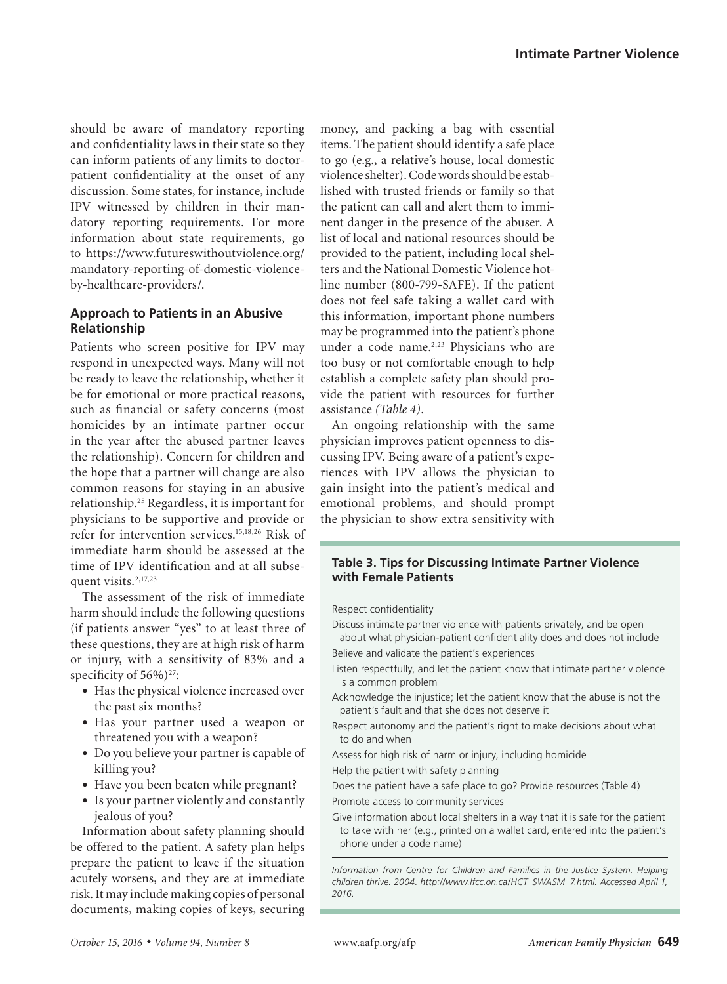should be aware of mandatory reporting and confidentiality laws in their state so they can inform patients of any limits to doctorpatient confidentiality at the onset of any discussion. Some states, for instance, include IPV witnessed by children in their mandatory reporting requirements. For more information about state requirements, go to https://www.futureswithoutviolence.org/ mandatory-reporting-of-domestic-violenceby-healthcare-providers/.

# **Approach to Patients in an Abusive Relationship**

Patients who screen positive for IPV may respond in unexpected ways. Many will not be ready to leave the relationship, whether it be for emotional or more practical reasons, such as financial or safety concerns (most homicides by an intimate partner occur in the year after the abused partner leaves the relationship). Concern for children and the hope that a partner will change are also common reasons for staying in an abusive relationship.25 Regardless, it is important for physicians to be supportive and provide or refer for intervention services.15,18,26 Risk of immediate harm should be assessed at the time of IPV identification and at all subsequent visits.<sup>2,17,23</sup>

The assessment of the risk of immediate harm should include the following questions (if patients answer "yes" to at least three of these questions, they are at high risk of harm or injury, with a sensitivity of 83% and a specificity of 56%)<sup>27</sup>:

- Has the physical violence increased over the past six months?
- Has your partner used a weapon or threatened you with a weapon?
- Do you believe your partner is capable of killing you?
- Have you been beaten while pregnant?
- Is your partner violently and constantly jealous of you?

Information about safety planning should be offered to the patient. A safety plan helps prepare the patient to leave if the situation acutely worsens, and they are at immediate risk. It may include making copies of personal documents, making copies of keys, securing money, and packing a bag with essential items. The patient should identify a safe place to go (e.g., a relative's house, local domestic violence shelter). Code words should be established with trusted friends or family so that the patient can call and alert them to imminent danger in the presence of the abuser. A list of local and national resources should be provided to the patient, including local shelters and the National Domestic Violence hotline number (800-799-SAFE). If the patient does not feel safe taking a wallet card with this information, important phone numbers may be programmed into the patient's phone under a code name.<sup>2,23</sup> Physicians who are too busy or not comfortable enough to help establish a complete safety plan should provide the patient with resources for further assistance *(Table 4)*.

An ongoing relationship with the same physician improves patient openness to discussing IPV. Being aware of a patient's experiences with IPV allows the physician to gain insight into the patient's medical and emotional problems, and should prompt the physician to show extra sensitivity with

## **Table 3. Tips for Discussing Intimate Partner Violence with Female Patients**

#### Respect confidentiality

- Discuss intimate partner violence with patients privately, and be open about what physician-patient confidentiality does and does not include
- Believe and validate the patient's experiences
- Listen respectfully, and let the patient know that intimate partner violence is a common problem
- Acknowledge the injustice; let the patient know that the abuse is not the patient's fault and that she does not deserve it
- Respect autonomy and the patient's right to make decisions about what to do and when
- Assess for high risk of harm or injury, including homicide
- Help the patient with safety planning
- Does the patient have a safe place to go? Provide resources (Table 4) Promote access to community services
- Give information about local shelters in a way that it is safe for the patient to take with her (e.g., printed on a wallet card, entered into the patient's phone under a code name)

*Information from Centre for Children and Families in the Justice System. Helping children thrive. 2004. http://www.lfcc.on.ca/HCT\_SWASM\_7.html. Accessed April 1, 2016.*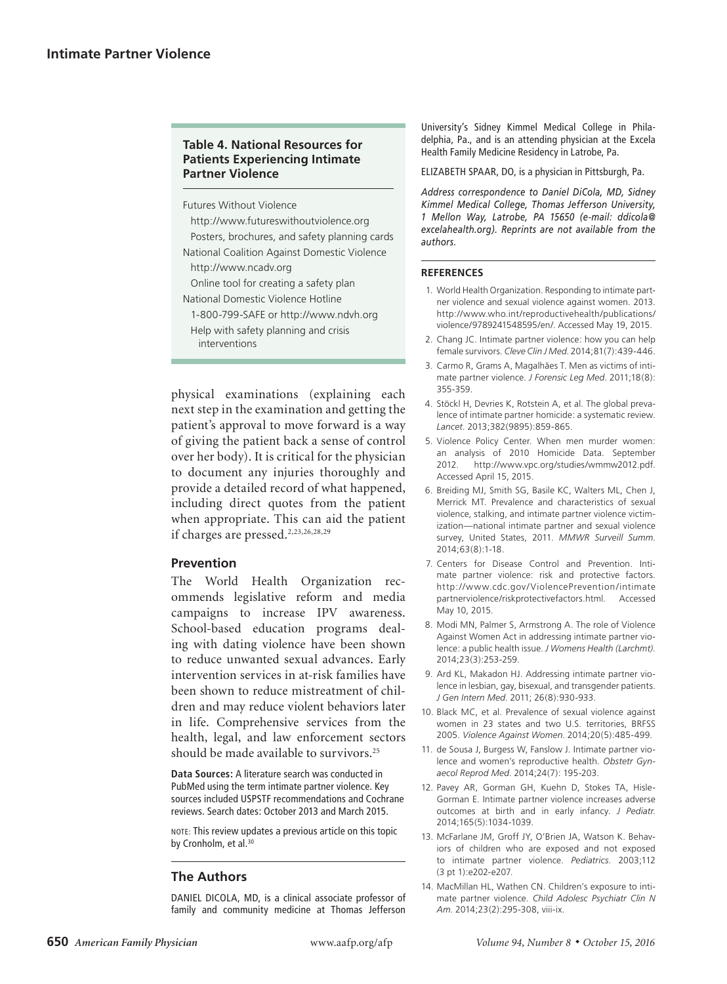## **Table 4. National Resources for Patients Experiencing Intimate Partner Violence**

Futures Without Violence

http://www.futureswithoutviolence.org Posters, brochures, and safety planning cards National Coalition Against Domestic Violence http://www.ncadv.org Online tool for creating a safety plan National Domestic Violence Hotline 1-800-799-SAFE or http://www.ndvh.org

Help with safety planning and crisis interventions

physical examinations (explaining each next step in the examination and getting the patient's approval to move forward is a way of giving the patient back a sense of control over her body). It is critical for the physician to document any injuries thoroughly and provide a detailed record of what happened, including direct quotes from the patient when appropriate. This can aid the patient if charges are pressed.<sup>2,23,26,28,29</sup>

# **Prevention**

The World Health Organization recommends legislative reform and media campaigns to increase IPV awareness. School-based education programs dealing with dating violence have been shown to reduce unwanted sexual advances. Early intervention services in at-risk families have been shown to reduce mistreatment of children and may reduce violent behaviors later in life. Comprehensive services from the health, legal, and law enforcement sectors should be made available to survivors.<sup>25</sup>

**Data Sources:** A literature search was conducted in PubMed using the term intimate partner violence. Key sources included USPSTF recommendations and Cochrane reviews. Search dates: October 2013 and March 2015.

NOTE: This review updates a previous article on this topic by Cronholm, et al.<sup>30</sup>

# **The Authors**

DANIEL DICOLA, MD, is a clinical associate professor of family and community medicine at Thomas Jefferson University's Sidney Kimmel Medical College in Philadelphia, Pa., and is an attending physician at the Excela Health Family Medicine Residency in Latrobe, Pa.

ELIZABETH SPAAR, DO, is a physician in Pittsburgh, Pa.

*Address correspondence to Daniel DiCola, MD, Sidney Kimmel Medical College, Thomas Jefferson University, 1 Mellon Way, Latrobe, PA 15650 (e-mail: ddicola@ excelahealth.org). Reprints are not available from the authors.* 

#### **REFERENCES**

- 1. World Health Organization. Responding to intimate partner violence and sexual violence against women. 2013. http://www.who.int/reproductivehealth/publications/ violence/9789241548595/en/. Accessed May 19, 2015.
- 2. Chang JC. Intimate partner violence: how you can help female survivors. *Cleve Clin J Med*. 2014;81(7):439-446.
- 3. Carmo R, Grams A, Magalhães T. Men as victims of intimate partner violence. *J Forensic Leg Med*. 2011;18(8): 355-359.
- 4. Stöckl H, Devries K, Rotstein A, et al. The global prevalence of intimate partner homicide: a systematic review. *Lancet*. 2013;382(9895):859-865.
- 5. Violence Policy Center. When men murder women: an analysis of 2010 Homicide Data. September 2012. http://www.vpc.org/studies/wmmw2012.pdf. Accessed April 15, 2015.
- 6. Breiding MJ, Smith SG, Basile KC, Walters ML, Chen J, Merrick MT. Prevalence and characteristics of sexual violence, stalking, and intimate partner violence victimization—national intimate partner and sexual violence survey, United States, 2011. *MMWR Surveill Summ*. 2014;63(8):1-18.
- 7. Centers for Disease Control and Prevention. Intimate partner violence: risk and protective factors. http://www.cdc.gov/ViolencePrevention/intimate partnerviolence/riskprotectivefactors.html. Accessed May 10, 2015.
- 8. Modi MN, Palmer S, Armstrong A. The role of Violence Against Women Act in addressing intimate partner violence: a public health issue. *J Womens Health (Larchmt)*. 2014;23(3):253-259.
- 9. Ard KL, Makadon HJ. Addressing intimate partner violence in lesbian, gay, bisexual, and transgender patients. *J Gen Intern Med*. 2011; 26(8):930-933.
- 10. Black MC, et al. Prevalence of sexual violence against women in 23 states and two U.S. territories, BRFSS 2005. *Violence Against Women*. 2014;20(5):485-499.
- 11. de Sousa J, Burgess W, Fanslow J. Intimate partner violence and women's reproductive health. *Obstetr Gynaecol Reprod Med*. 2014;24(7): 195-203.
- 12. Pavey AR, Gorman GH, Kuehn D, Stokes TA, Hisle-Gorman E. Intimate partner violence increases adverse outcomes at birth and in early infancy. *J Pediatr*. 2014;165(5):1034-1039.
- 13. McFarlane JM, Groff JY, O'Brien JA, Watson K. Behaviors of children who are exposed and not exposed to intimate partner violence. *Pediatrics*. 2003;112 (3 pt 1):e202-e207.
- 14. MacMillan HL, Wathen CN. Children's exposure to intimate partner violence. *Child Adolesc Psychiatr Clin N Am*. 2014;23(2):295-308, viii-ix.